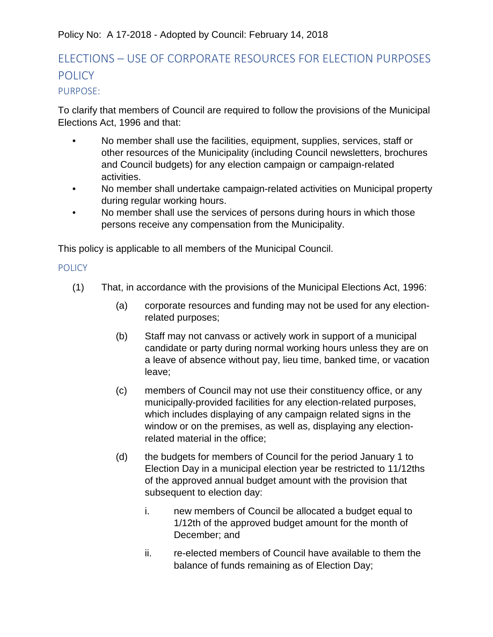## Policy No: A 17-2018 - Adopted by Council: February 14, 2018

# ELECTIONS – USE OF CORPORATE RESOURCES FOR ELECTION PURPOSES **POLICY**

## PURPOSE:

To clarify that members of Council are required to follow the provisions of the Municipal Elections Act, 1996 and that:

- No member shall use the facilities, equipment, supplies, services, staff or other resources of the Municipality (including Council newsletters, brochures and Council budgets) for any election campaign or campaign-related activities.
- No member shall undertake campaign-related activities on Municipal property during regular working hours.
- No member shall use the services of persons during hours in which those persons receive any compensation from the Municipality.

This policy is applicable to all members of the Municipal Council.

#### **POLICY**

- (1) That, in accordance with the provisions of the Municipal Elections Act, 1996:
	- (a) corporate resources and funding may not be used for any electionrelated purposes;
	- (b) Staff may not canvass or actively work in support of a municipal candidate or party during normal working hours unless they are on a leave of absence without pay, lieu time, banked time, or vacation leave;
	- (c) members of Council may not use their constituency office, or any municipally-provided facilities for any election-related purposes, which includes displaying of any campaign related signs in the window or on the premises, as well as, displaying any electionrelated material in the office;
	- (d) the budgets for members of Council for the period January 1 to Election Day in a municipal election year be restricted to 11/12ths of the approved annual budget amount with the provision that subsequent to election day:
		- i. new members of Council be allocated a budget equal to 1/12th of the approved budget amount for the month of December; and
		- ii. re-elected members of Council have available to them the balance of funds remaining as of Election Day;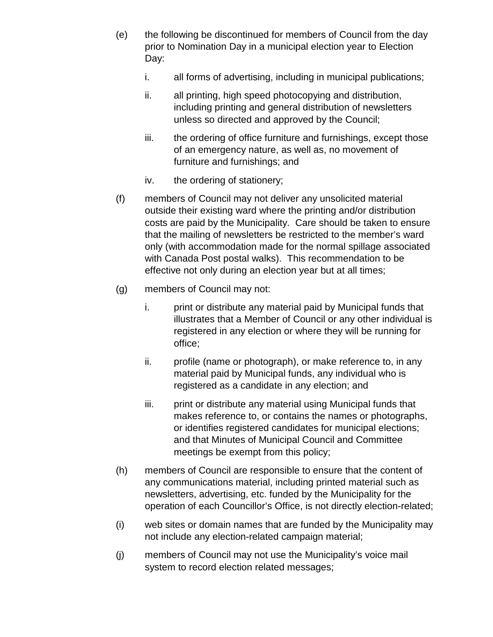- (e) the following be discontinued for members of Council from the day prior to Nomination Day in a municipal election year to Election Day:
	- i. all forms of advertising, including in municipal publications;
	- ii. all printing, high speed photocopying and distribution, including printing and general distribution of newsletters unless so directed and approved by the Council;
	- iii. the ordering of office furniture and furnishings, except those of an emergency nature, as well as, no movement of furniture and furnishings; and
	- iv. the ordering of stationery;
- (f) members of Council may not deliver any unsolicited material outside their existing ward where the printing and/or distribution costs are paid by the Municipality. Care should be taken to ensure that the mailing of newsletters be restricted to the member's ward only (with accommodation made for the normal spillage associated with Canada Post postal walks). This recommendation to be effective not only during an election year but at all times;
- (g) members of Council may not:
	- i. print or distribute any material paid by Municipal funds that illustrates that a Member of Council or any other individual is registered in any election or where they will be running for office;
	- ii. profile (name or photograph), or make reference to, in any material paid by Municipal funds, any individual who is registered as a candidate in any election; and
	- iii. print or distribute any material using Municipal funds that makes reference to, or contains the names or photographs, or identifies registered candidates for municipal elections; and that Minutes of Municipal Council and Committee meetings be exempt from this policy;
- (h) members of Council are responsible to ensure that the content of any communications material, including printed material such as newsletters, advertising, etc. funded by the Municipality for the operation of each Councillor's Office, is not directly election-related;
- (i) web sites or domain names that are funded by the Municipality may not include any election-related campaign material;
- (j) members of Council may not use the Municipality's voice mail system to record election related messages;